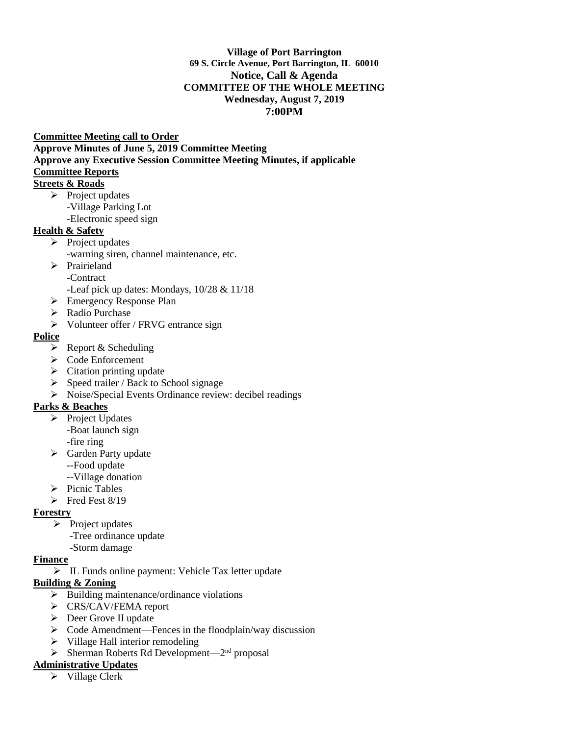#### **Village of Port Barrington 69 S. Circle Avenue, Port Barrington, IL 60010 Notice, Call & Agenda COMMITTEE OF THE WHOLE MEETING Wednesday, August 7, 2019 7:00PM**

#### **Committee Meeting call to Order**

**Approve Minutes of June 5, 2019 Committee Meeting Approve any Executive Session Committee Meeting Minutes, if applicable Committee Reports** 

#### **Streets & Roads**

- ➢ Project updates
	- -Village Parking Lot
	- -Electronic speed sign

### **Health & Safety**

- $\triangleright$  Project updates
	- -warning siren, channel maintenance, etc.
- ➢ Prairieland
	- -Contract
	- -Leaf pick up dates: Mondays, 10/28 & 11/18
- ➢ Emergency Response Plan
- ➢ Radio Purchase
- ➢ Volunteer offer / FRVG entrance sign

## **Police**

- $\triangleright$  Report & Scheduling
- ➢ Code Enforcement
- $\triangleright$  Citation printing update
- $\triangleright$  Speed trailer / Back to School signage
- ➢ Noise/Special Events Ordinance review: decibel readings

### **Parks & Beaches**

- ➢ Project Updates -Boat launch sign
	- -fire ring
- ➢ Garden Party update
	- --Food update
	- --Village donation
- ➢ Picnic Tables
- $\triangleright$  Fred Fest 8/19

### **Forestry**

- $\triangleright$  Project updates
	- -Tree ordinance update
- -Storm damage

# **Finance**

➢ IL Funds online payment: Vehicle Tax letter update

### **Building & Zoning**

- ➢ Building maintenance/ordinance violations
- ➢ CRS/CAV/FEMA report
- ➢ Deer Grove II update
- ➢ Code Amendment—Fences in the floodplain/way discussion
- ➢ Village Hall interior remodeling
- $\triangleright$  Sherman Roberts Rd Development—2<sup>nd</sup> proposal

# **Administrative Updates**

➢ Village Clerk